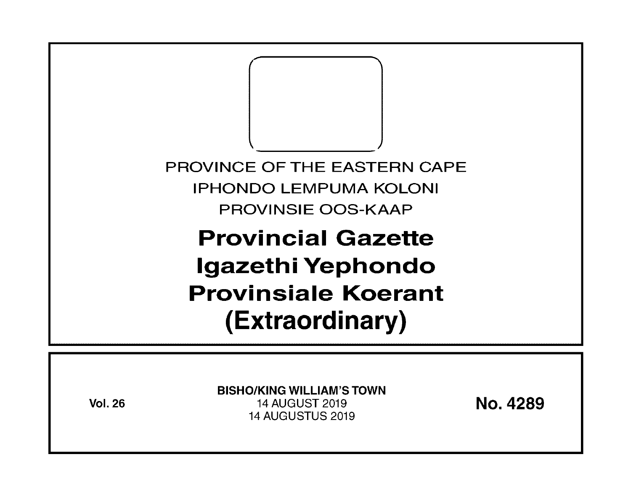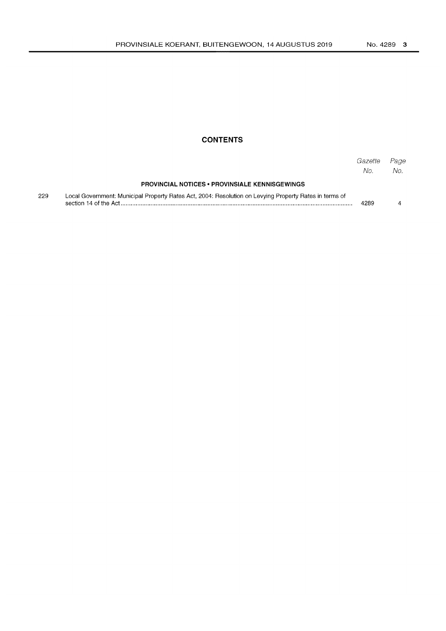## **CONTENTS**

|     |                                                                                                        | Gazette<br>No. | Page<br>No. |
|-----|--------------------------------------------------------------------------------------------------------|----------------|-------------|
|     | <b>PROVINCIAL NOTICES • PROVINSIALE KENNISGEWINGS</b>                                                  |                |             |
| 229 | Local Government: Municipal Property Rates Act, 2004: Resolution on Levying Property Rates in terms of | 4289           |             |